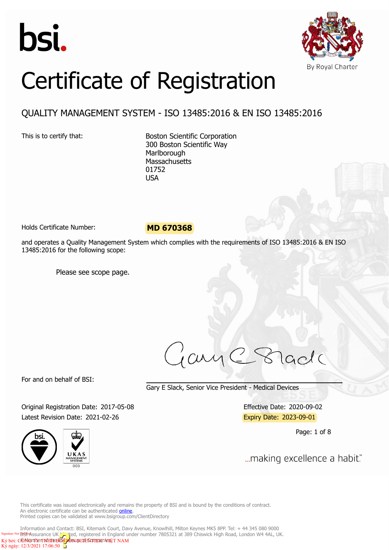



# Certificate of Registration

### QUALITY MANAGEMENT SYSTEM - ISO 13485:2016 & EN ISO 13485:2016

This is to certify that: Boston Scientific Corporation 300 Boston Scientific Way **Marlborough Massachusetts** 01752 USA

Holds Certificate Number: **MD 670368**

and operates a Quality Management System which complies with the requirements of ISO 13485:2016 & EN ISO 13485:2016 for the following scope:

Please see scope page.

jay lade

For and on behalf of BSI:

Gary E Slack, Senior Vice President - Medical Devices

Original Registration Date: 2017-05-08 Effective Date: 2020-09-02 Latest Revision Date: 2021-02-26 Expiry Date: 2023-09-01





Page: 1 of 8

... making excellence a habit."

This certificate was issued electronically and remains the property of BSI and is bound by the conditions of contract. An electronic certificate can be authenticated **online**. Printed copies can be validated at www.bsigroup.com/ClientDirectory

Information and Contact: BSI, Kitemark Court, Davy Avenue, Knowlhill, Milton Keynes MK5 8PP. Tel: + 44 345 080 9000 Signature Not **BGI+A**ssurance UK Gel, registered in England under number 7805321 at 389 Chiswick High Road, London W4 4AL, UK. CÔNG THE TRHHEBOSTON SCIENTIFIC VEET NAM 12/3/2021 17:06:50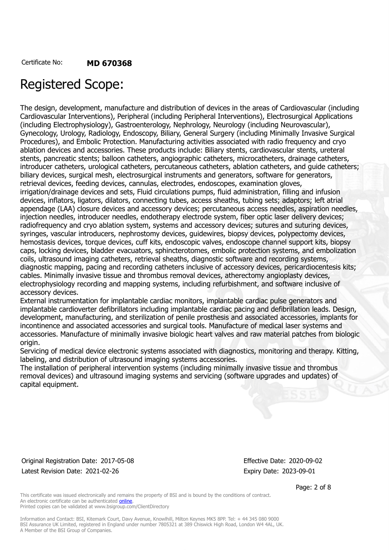## Registered Scope:

The design, development, manufacture and distribution of devices in the areas of Cardiovascular (including Cardiovascular Interventions), Peripheral (including Peripheral Interventions), Electrosurgical Applications (including Electrophysiology), Gastroenterology, Nephrology, Neurology (including Neurovascular), Gynecology, Urology, Radiology, Endoscopy, Biliary, General Surgery (including Minimally Invasive Surgical Procedures), and Embolic Protection. Manufacturing activities associated with radio frequency and cryo ablation devices and accessories. These products include: Biliary stents, cardiovascular stents, ureteral stents, pancreatic stents; balloon catheters, angiographic catheters, microcatheters, drainage catheters, introducer catheters, urological catheters, percutaneous catheters, ablation catheters, and guide catheters; biliary devices, surgical mesh, electrosurgical instruments and generators, software for generators, retrieval devices, feeding devices, cannulas, electrodes, endoscopes, examination gloves, irrigation/drainage devices and sets, Fluid circulations pumps, fluid administration, filling and infusion devices, inflators, ligators, dilators, connecting tubes, access sheaths, tubing sets; adaptors; left atrial appendage (LAA) closure devices and accessory devices; percutaneous access needles, aspiration needles, injection needles, introducer needles, endotherapy electrode system, fiber optic laser delivery devices; radiofrequency and cryo ablation system, systems and accessory devices; sutures and suturing devices, syringes, vascular introducers, nephrostomy devices, guidewires, biopsy devices, polypectomy devices, hemostasis devices, torque devices, cuff kits, endoscopic valves, endoscope channel support kits, biopsy caps, locking devices, bladder evacuators, sphincterotomes, embolic protection systems, and embolization coils, ultrasound imaging catheters, retrieval sheaths, diagnostic software and recording systems, diagnostic mapping, pacing and recording catheters inclusive of accessory devices, pericardiocentesis kits; cables. Minimally invasive tissue and thrombus removal devices, atherectomy angioplasty devices, electrophysiology recording and mapping systems, including refurbishment, and software inclusive of accessory devices.

External instrumentation for implantable cardiac monitors, implantable cardiac pulse generators and implantable cardioverter defibrillators including implantable cardiac pacing and defibrillation leads. Design, development, manufacturing, and sterilization of penile prosthesis and associated accessories, implants for incontinence and associated accessories and surgical tools. Manufacture of medical laser systems and accessories. Manufacture of minimally invasive biologic heart valves and raw material patches from biologic origin.

Servicing of medical device electronic systems associated with diagnostics, monitoring and therapy. Kitting, labeling, and distribution of ultrasound imaging systems accessories.

The installation of peripheral intervention systems (including minimally invasive tissue and thrombus removal devices) and ultrasound imaging systems and servicing (software upgrades and updates) of capital equipment.

Original Registration Date: 2017-05-08 Effective Date: 2020-09-02 Latest Revision Date: 2021-02-26 Expiry Date: 2023-09-01

Page: 2 of 8

This certificate was issued electronically and remains the property of BSI and is bound by the conditions of contract. An electronic certificate can be authenticated online. Printed copies can be validated at www.bsigroup.com/ClientDirectory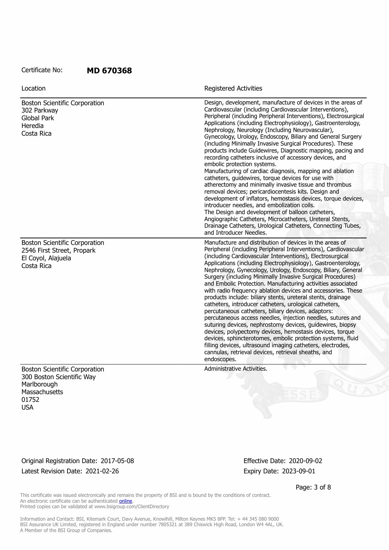| Location                                                                                               | <b>Registered Activities</b>                                                                                                                                                                                                                                                                                                                                                                                                                                                                                                                                                                                                                                                                                                                                                                                                                                                                                                                                                                                                                                                                    |
|--------------------------------------------------------------------------------------------------------|-------------------------------------------------------------------------------------------------------------------------------------------------------------------------------------------------------------------------------------------------------------------------------------------------------------------------------------------------------------------------------------------------------------------------------------------------------------------------------------------------------------------------------------------------------------------------------------------------------------------------------------------------------------------------------------------------------------------------------------------------------------------------------------------------------------------------------------------------------------------------------------------------------------------------------------------------------------------------------------------------------------------------------------------------------------------------------------------------|
| <b>Boston Scientific Corporation</b><br>302 Parkway<br><b>Global Park</b><br>Heredia<br>Costa Rica     | Design, development, manufacture of devices in the areas of<br>Cardiovascular (including Cardiovascular Interventions),<br>Peripheral (including Peripheral Interventions), Electrosurgical<br>Applications (including Electrophysiology), Gastroenterology,<br>Nephrology, Neurology (Including Neurovascular),<br>Gynecology, Urology, Endoscopy, Biliary and General Surgery<br>(including Minimally Invasive Surgical Procedures). These<br>products include Guidewires, Diagnostic mapping, pacing and<br>recording catheters inclusive of accessory devices, and<br>embolic protection systems.                                                                                                                                                                                                                                                                                                                                                                                                                                                                                           |
|                                                                                                        | Manufacturing of cardiac diagnosis, mapping and ablation<br>catheters, guidewires, torque devices for use with<br>atherectomy and minimally invasive tissue and thrombus<br>removal devices; pericardiocentesis kits. Design and<br>development of inflators, hemostasis devices, torque devices,<br>introducer needles, and embolization coils.                                                                                                                                                                                                                                                                                                                                                                                                                                                                                                                                                                                                                                                                                                                                                |
|                                                                                                        | The Design and development of balloon catheters,<br>Angiographic Catheters, Microcatheters, Ureteral Stents,<br>Drainage Catheters, Urological Catheters, Connecting Tubes,<br>and Introducer Needles.                                                                                                                                                                                                                                                                                                                                                                                                                                                                                                                                                                                                                                                                                                                                                                                                                                                                                          |
| <b>Boston Scientific Corporation</b><br>2546 First Street, Propark<br>El Coyol, Alajuela<br>Costa Rica | Manufacture and distribution of devices in the areas of<br>Peripheral (including Peripheral Interventions), Cardiovascular<br>(including Cardiovascular Interventions), Electrosurgical<br>Applications (including Electrophysiology), Gastroenterology,<br>Nephrology, Gynecology, Urology, Endoscopy, Biliary, General<br>Surgery (including Minimally Invasive Surgical Procedures)<br>and Embolic Protection. Manufacturing activities associated<br>with radio frequency ablation devices and accessories. These<br>products include: biliary stents, ureteral stents, drainage<br>catheters, introducer catheters, urological catheters,<br>percutaneous catheters, biliary devices, adaptors:<br>percutaneous access needles, injection needles, sutures and<br>suturing devices, nephrostomy devices, guidewires, biopsy<br>devices, polypectomy devices, hemostasis devices, torque<br>devices, sphincterotomes, embolic protection systems, fluid<br>filling devices, ultrasound imaging catheters, electrodes,<br>cannulas, retrieval devices, retrieval sheaths, and<br>endoscopes. |
| <b>Boston Scientific Corporation</b>                                                                   | Administrative Activities.                                                                                                                                                                                                                                                                                                                                                                                                                                                                                                                                                                                                                                                                                                                                                                                                                                                                                                                                                                                                                                                                      |

300 Boston Scientific Way Marlborough **Massachusetts** 01752 USA

Original Registration Date: 2017-05-08 Effective Date: 2020-09-02 Latest Revision Date: 2021-02-26 Expiry Date: 2023-09-01

Page: 3 of 8

This certificate was issued electronically and remains the property of BSI and is bound by the conditions of contract. An electronic certificate can be authenticated **online**. Printed copies can be validated at www.bsigroup.com/ClientDirectory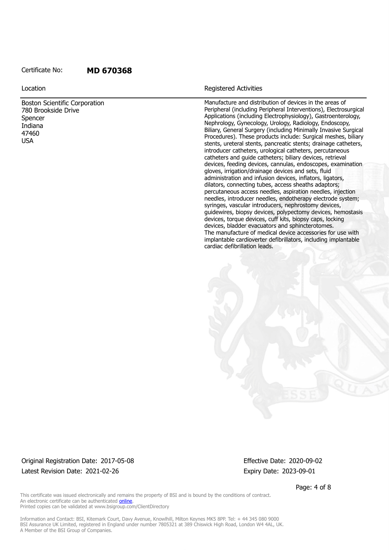Boston Scientific Corporation 780 Brookside Drive Spencer Indiana 47460 USA

#### Location **Exercise 2018 Location Registered Activities**

Manufacture and distribution of devices in the areas of Peripheral (including Peripheral Interventions), Electrosurgical Applications (including Electrophysiology), Gastroenterology, Nephrology, Gynecology, Urology, Radiology, Endoscopy, Biliary, General Surgery (including Minimally Invasive Surgical Procedures). These products include: Surgical meshes, biliary stents, ureteral stents, pancreatic stents; drainage catheters, introducer catheters, urological catheters, percutaneous catheters and guide catheters; biliary devices, retrieval devices, feeding devices, cannulas, endoscopes, examination gloves, irrigation/drainage devices and sets, fluid administration and infusion devices, inflators, ligators, dilators, connecting tubes, access sheaths adaptors; percutaneous access needles, aspiration needles, injection needles, introducer needles, endotherapy electrode system; syringes, vascular introducers, nephrostomy devices, guidewires, biopsy devices, polypectomy devices, hemostasis devices, torque devices, cuff kits, biopsy caps, locking devices, bladder evacuators and sphincterotomes. The manufacture of medical device accessories for use with implantable cardioverter defibrillators, including implantable cardiac defibrillation leads.

Original Registration Date: 2017-05-08 Effective Date: 2020-09-02 Latest Revision Date: 2021-02-26 Expiry Date: 2023-09-01

Page: 4 of 8

This certificate was issued electronically and remains the property of BSI and is bound by the conditions of contract. An electronic certificate can be authenticated **online**. Printed copies can be validated at www.bsigroup.com/ClientDirectory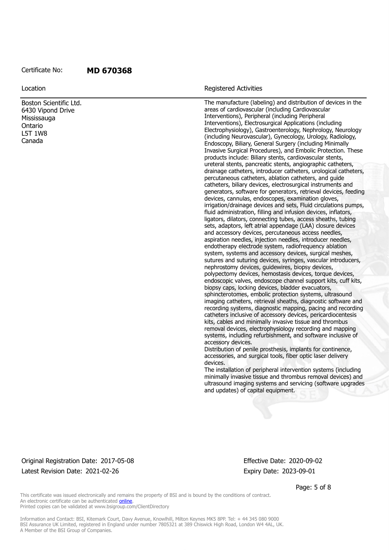Boston Scientific Ltd. 6430 Vipond Drive Mississauga Ontario L5T 1W8 Canada

#### **Location Contains a Location Contains a Location Registered Activities**

The manufacture (labeling) and distribution of devices in the areas of cardiovascular (including Cardiovascular Interventions), Peripheral (including Peripheral Interventions), Electrosurgical Applications (including Electrophysiology), Gastroenterology, Nephrology, Neurology (including Neurovascular), Gynecology, Urology, Radiology, Endoscopy, Biliary, General Surgery (including Minimally Invasive Surgical Procedures), and Embolic Protection. These products include: Biliary stents, cardiovascular stents, ureteral stents, pancreatic stents, angiographic catheters, drainage catheters, introducer catheters, urological catheters, percutaneous catheters, ablation catheters, and guide catheters, biliary devices, electrosurgical instruments and generators, software for generators, retrieval devices, feeding devices, cannulas, endoscopes, examination gloves, irrigation/drainage devices and sets, Fluid circulations pumps, fluid administration, filling and infusion devices, inflators, ligators, dilators, connecting tubes, access sheaths, tubing sets, adaptors, left atrial appendage (LAA) closure devices and accessory devices, percutaneous access needles, aspiration needles, injection needles, introducer needles, endotherapy electrode system, radiofrequency ablation system, systems and accessory devices, surgical meshes, sutures and suturing devices, syringes, vascular introducers, nephrostomy devices, guidewires, biopsy devices, polypectomy devices, hemostasis devices, torque devices, endoscopic valves, endoscope channel support kits, cuff kits, biopsy caps, locking devices, bladder evacuators, sphincterotomes, embolic protection systems, ultrasound imaging catheters, retrieval sheaths, diagnostic software and recording systems, diagnostic mapping, pacing and recording catheters inclusive of accessory devices, pericardiocentesis kits, cables and minimally invasive tissue and thrombus removal devices, electrophysiology recording and mapping systems, including refurbishment, and software inclusive of accessory devices.

Distribution of penile prosthesis, implants for continence, accessories, and surgical tools, fiber optic laser delivery devices.

The installation of peripheral intervention systems (including minimally invasive tissue and thrombus removal devices) and ultrasound imaging systems and servicing (software upgrades and updates) of capital equipment.

#### Original Registration Date: 2017-05-08 Effective Date: 2020-09-02 Latest Revision Date: 2021-02-26 Expiry Date: 2023-09-01

Page: 5 of 8

This certificate was issued electronically and remains the property of BSI and is bound by the conditions of contract. An electronic certificate can be authenticated online. Printed copies can be validated at www.bsigroup.com/ClientDirectory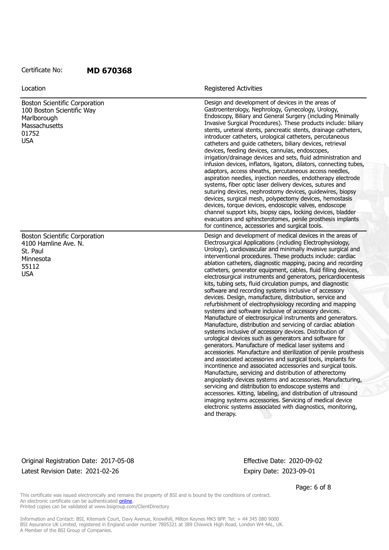| Location                                                                                                                 | <b>Registered Activities</b>                                                                                                                                                                                                                                                                                                                                                                                                                                                                                                                                                                                                                                                                                                                                                                                                                                                                                                                                                                                                                                                                                                                                                                                                                                                                                                                                                                                                                                                                                                                                                                                                                                            |
|--------------------------------------------------------------------------------------------------------------------------|-------------------------------------------------------------------------------------------------------------------------------------------------------------------------------------------------------------------------------------------------------------------------------------------------------------------------------------------------------------------------------------------------------------------------------------------------------------------------------------------------------------------------------------------------------------------------------------------------------------------------------------------------------------------------------------------------------------------------------------------------------------------------------------------------------------------------------------------------------------------------------------------------------------------------------------------------------------------------------------------------------------------------------------------------------------------------------------------------------------------------------------------------------------------------------------------------------------------------------------------------------------------------------------------------------------------------------------------------------------------------------------------------------------------------------------------------------------------------------------------------------------------------------------------------------------------------------------------------------------------------------------------------------------------------|
| <b>Boston Scientific Corporation</b><br>100 Boston Scientific Way<br>Marlborough<br>Massachusetts<br>01752<br><b>USA</b> | Design and development of devices in the areas of<br>Gastroenterology, Nephrology, Gynecology, Urology,<br>Endoscopy, Biliary and General Surgery (including Minimally<br>Invasive Surgical Procedures). These products include: biliary<br>stents, ureteral stents, pancreatic stents, drainage catheters,<br>introducer catheters, urological catheters, percutaneous<br>catheters and guide catheters, biliary devices, retrieval<br>devices, feeding devices, cannulas, endoscopes,<br>irrigation/drainage devices and sets, fluid administration and<br>infusion devices, inflators, ligators, dilators, connecting tubes,<br>adaptors, access sheaths, percutaneous access needles,<br>aspiration needles, injection needles, endotherapy electrode<br>systems, fiber optic laser delivery devices, sutures and<br>suturing devices, nephrostomy devices, guidewires, biopsy<br>devices, surgical mesh, polypectomy devices, hemostasis<br>devices, torque devices, endoscopic valves, endoscope<br>channel support kits, biopsy caps, locking devices, bladder<br>evacuators and sphincterotomes, penile prosthesis implants<br>for continence, accessories and surgical tools.                                                                                                                                                                                                                                                                                                                                                                                                                                                                                  |
| <b>Boston Scientific Corporation</b><br>4100 Hamline Ave. N.<br>St. Paul<br>Minnesota<br>55112<br><b>USA</b>             | Design and development of medical devices in the areas of<br>Electrosurgical Applications (including Electrophysiology,<br>Urology), cardiovascular and minimally invasive surgical and<br>interventional procedures. These products include: cardiac<br>ablation catheters, diagnostic mapping, pacing and recording<br>catheters, generator equipment, cables, fluid filling devices,<br>electrosurgical instruments and generators, pericardiocentesis<br>kits, tubing sets, fluid circulation pumps, and diagnostic<br>software and recording systems inclusive of accessory<br>devices. Design, manufacture, distribution, service and<br>refurbishment of electrophysiology recording and mapping<br>systems and software inclusive of accessory devices.<br>Manufacture of electrosurgical instruments and generators.<br>Manufacture, distribution and servicing of cardiac ablation<br>systems inclusive of accessory devices. Distribution of<br>urological devices such as generators and software for<br>generators. Manufacture of medical laser systems and<br>accessories. Manufacture and sterilization of penile prosthesis<br>and associated accessories and surgical tools, implants for<br>incontinence and associated accessories and surgical tools.<br>Manufacture, servicing and distribution of atherectomy<br>angioplasty devices systems and accessories. Manufacturing,<br>servicing and distribution to endoscope systems and<br>accessories. Kitting, labeling, and distribution of ultrasound<br>imaging systems accessories. Servicing of medical device<br>electronic systems associated with diagnostics, monitoring,<br>and therapy. |

#### Original Registration Date: 2017-05-08 Effective Date: 2020-09-02 Latest Revision Date: 2021-02-26 Expiry Date: 2023-09-01

Page: 6 of 8

This certificate was issued electronically and remains the property of BSI and is bound by the conditions of contract. An electronic certificate can be authenticated **online**. Printed copies can be validated at www.bsigroup.com/ClientDirectory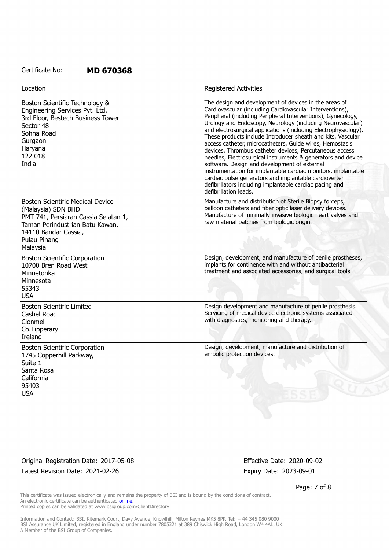| Location                                                                                                                                                                                     | Registered Activities                                                                                                                                                                                                                                                                                                                                                                                                                                                                                                                                                                                                                                                                                                                                                                                                                  |
|----------------------------------------------------------------------------------------------------------------------------------------------------------------------------------------------|----------------------------------------------------------------------------------------------------------------------------------------------------------------------------------------------------------------------------------------------------------------------------------------------------------------------------------------------------------------------------------------------------------------------------------------------------------------------------------------------------------------------------------------------------------------------------------------------------------------------------------------------------------------------------------------------------------------------------------------------------------------------------------------------------------------------------------------|
| Boston Scientific Technology &<br>Engineering Services Pvt. Ltd.<br>3rd Floor, Bestech Business Tower<br>Sector 48<br>Sohna Road<br>Gurgaon<br>Haryana<br>122 018<br>India                   | The design and development of devices in the areas of<br>Cardiovascular (including Cardiovascular Interventions),<br>Peripheral (including Peripheral Interventions), Gynecology,<br>Urology and Endoscopy, Neurology (including Neurovascular)<br>and electrosurgical applications (including Electrophysiology).<br>These products include Introducer sheath and kits, Vascular<br>access catheter, microcatheters, Guide wires, Hemostasis<br>devices, Thrombus catheter devices, Percutaneous access<br>needles, Electrosurgical instruments & generators and device<br>software. Design and development of external<br>instrumentation for implantable cardiac monitors, implantable<br>cardiac pulse generators and implantable cardioverter<br>defibrillators including implantable cardiac pacing and<br>defibrillation leads. |
| <b>Boston Scientific Medical Device</b><br>(Malaysia) SDN BHD<br>PMT 741, Persiaran Cassia Selatan 1,<br>Taman Perindustrian Batu Kawan,<br>14110 Bandar Cassia,<br>Pulau Pinang<br>Malaysia | Manufacture and distribution of Sterile Biopsy forceps,<br>balloon catheters and fiber optic laser delivery devices.<br>Manufacture of minimally invasive biologic heart valves and<br>raw material patches from biologic origin.                                                                                                                                                                                                                                                                                                                                                                                                                                                                                                                                                                                                      |
| <b>Boston Scientific Corporation</b><br>10700 Bren Road West<br>Minnetonka<br>Minnesota<br>55343<br><b>USA</b>                                                                               | Design, development, and manufacture of penile prostheses,<br>implants for continence with and without antibacterial<br>treatment and associated accessories, and surgical tools.                                                                                                                                                                                                                                                                                                                                                                                                                                                                                                                                                                                                                                                      |
| <b>Boston Scientific Limited</b><br>Cashel Road<br>Clonmel<br>Co.Tipperary<br>Ireland                                                                                                        | Design development and manufacture of penile prosthesis.<br>Servicing of medical device electronic systems associated<br>with diagnostics, monitoring and therapy.                                                                                                                                                                                                                                                                                                                                                                                                                                                                                                                                                                                                                                                                     |
| <b>Boston Scientific Corporation</b><br>1745 Copperhill Parkway,<br>Suite 1<br>Santa Rosa<br>California<br>95403<br><b>USA</b>                                                               | Design, development, manufacture and distribution of<br>embolic protection devices.                                                                                                                                                                                                                                                                                                                                                                                                                                                                                                                                                                                                                                                                                                                                                    |

Original Registration Date: 2017-05-08 Effective Date: 2020-09-02 Latest Revision Date: 2021-02-26 Expiry Date: 2023-09-01

Page: 7 of 8

This certificate was issued electronically and remains the property of BSI and is bound by the conditions of contract. An electronic certificate can be authenticated **online**. Printed copies can be validated at www.bsigroup.com/ClientDirectory